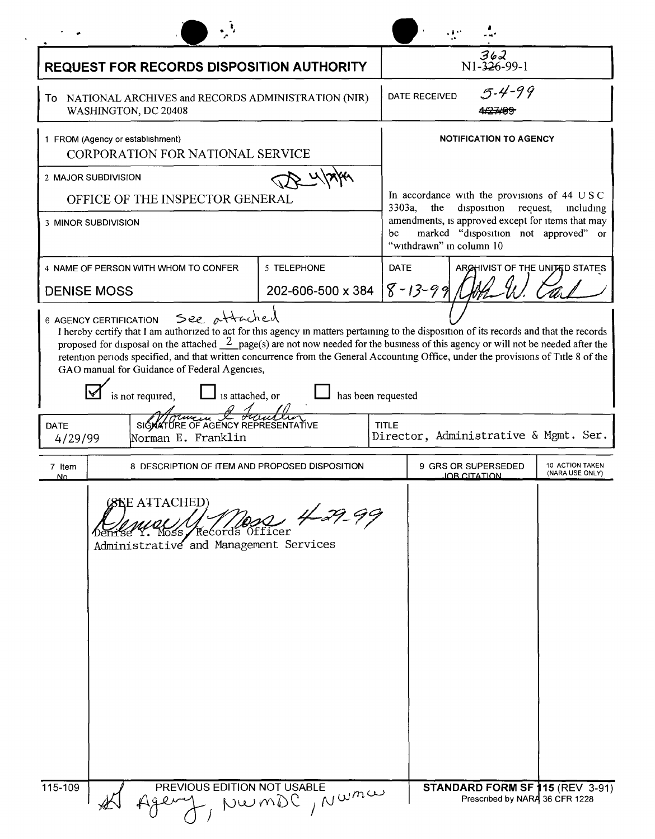| <b>REQUEST FOR RECORDS DISPOSITION AUTHORITY</b>                                                                                                                                                                                                                                                                                                                                                                                                                           |                                      | $362$<br>N1-326-99-1                                                                                                                                                                                                             |                                        |
|----------------------------------------------------------------------------------------------------------------------------------------------------------------------------------------------------------------------------------------------------------------------------------------------------------------------------------------------------------------------------------------------------------------------------------------------------------------------------|--------------------------------------|----------------------------------------------------------------------------------------------------------------------------------------------------------------------------------------------------------------------------------|----------------------------------------|
| To NATIONAL ARCHIVES and RECORDS ADMINISTRATION (NIR)<br>WASHINGTON, DC 20408                                                                                                                                                                                                                                                                                                                                                                                              |                                      | $5 - 4 - 99$<br><b>DATE RECEIVED</b><br><del>427499</del>                                                                                                                                                                        |                                        |
| 1 FROM (Agency or establishment)<br>CORPORATION FOR NATIONAL SERVICE                                                                                                                                                                                                                                                                                                                                                                                                       |                                      | <b>NOTIFICATION TO AGENCY</b>                                                                                                                                                                                                    |                                        |
| 2 MAJOR SUBDIVISION                                                                                                                                                                                                                                                                                                                                                                                                                                                        |                                      |                                                                                                                                                                                                                                  |                                        |
| OFFICE OF THE INSPECTOR GENERAL                                                                                                                                                                                                                                                                                                                                                                                                                                            |                                      | In accordance with the provisions of 44 USC<br>3303a,<br>disposition request,<br>the<br>including<br>amendments, is approved except for items that may<br>marked "disposition not approved" or<br>be<br>"withdrawn" in column 10 |                                        |
| 3 MINOR SUBDIVISION                                                                                                                                                                                                                                                                                                                                                                                                                                                        |                                      |                                                                                                                                                                                                                                  |                                        |
| 4 NAME OF PERSON WITH WHOM TO CONFER                                                                                                                                                                                                                                                                                                                                                                                                                                       | 5 TELEPHONE                          | <b>DATE</b>                                                                                                                                                                                                                      | ARCHIVIST OF THE UNITED STATES         |
| <b>DENISE MOSS</b>                                                                                                                                                                                                                                                                                                                                                                                                                                                         | 202-606-500 x 384 $\sqrt{8}$ - 13-99 |                                                                                                                                                                                                                                  |                                        |
| proposed for disposal on the attached $\frac{2}{2}$ page(s) are not now needed for the business of this agency or will not be needed after the<br>retention periods specified, and that written concurrence from the General Accounting Office, under the provisions of Title 8 of the<br>GAO manual for Guidance of Federal Agencies,<br>is not required,<br>$\Box$ is attached, or<br>SIGNATURE OF AGENCY REPRESENTATIVE<br><b>DATE</b><br>Norman E. Franklin<br>4/29/99 | has been requested                   | <b>TITLE</b><br>Director, Administrative & Mgmt. Ser.                                                                                                                                                                            |                                        |
| 8 DESCRIPTION OF ITEM AND PROPOSED DISPOSITION<br>7 Item<br><u>N٥</u>                                                                                                                                                                                                                                                                                                                                                                                                      |                                      | 9 GRS OR SUPERSEDED<br>IOB CITATION                                                                                                                                                                                              | 10 ACTION TAKEN<br>(NARA USE ONLY)     |
| (8RE ATTACHED)<br>Records Officer<br>Administrative and Management Services                                                                                                                                                                                                                                                                                                                                                                                                | $4 - 29 - 99$                        |                                                                                                                                                                                                                                  |                                        |
| $115 - 109$<br>PREVIOUS EDITION NOT USABLE                                                                                                                                                                                                                                                                                                                                                                                                                                 | NumDC, Numa                          | Prescribed by NARA 36 CFR 1228                                                                                                                                                                                                   | <b>STANDARD FORM SF 115 (REV 3-91)</b> |

 $\mathcal{L}^{\pm}$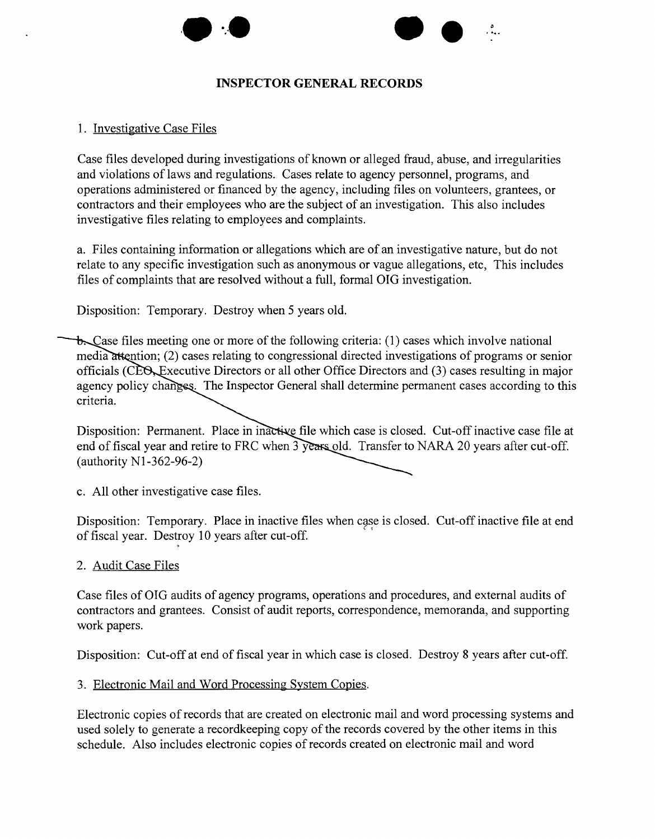



## **INSPECTOR GENERAL RECORDS**

## 1. Investigative Case Files

Case files developed during investigations of known or alleged fraud, abuse, and irregularities and violations of laws and regulations. Cases relate to agency personnel, programs, and operations administered or financed by the agency, including files on volunteers, grantees, or contractors and their employees who are the subject of an investigation. This also includes investigative files relating to employees and complaints.

a. Files containing information or allegations which are of an investigative nature, but do not relate to any specific investigation such as anonymous or vague allegations, etc, This includes files of complaints that are resolved without a full, formal OIG investigation.

Disposition: Temporary. Destroy when 5 years old.

t. Case files meeting one or more of the following criteria: (1) cases which involve national media attention; (2) cases relating to congressional directed investigations of programs or senior officials (CEO, Executive Directors or all other Office Directors and (3) cases resulting in major agency policy changes. The Inspector General shall determine permanent cases according to this criteria.

Disposition: Permanent. Place in inactive file which case is closed. Cut-off inactive case file at end of fiscal year and retire to FRC when 3 years old. Transfer to NARA 20 years after cut-off. (authority Nl-362-96-2)

c. All other investigative case files.

Disposition: Temporary. Place in inactive files when case is closed. Cut-off inactive file at end of fiscal year. Destroy 10 years after cut-off.

2. Audit Case Files

Case files of OIG audits of agency programs, operations and procedures, and external audits of contractors and grantees. Consist of audit reports, correspondence, memoranda, and supporting work papers.

Disposition: Cut-off at end of fiscal year in which case is closed. Destroy 8 years after cut-off.

## 3. Electronic Mail and Word Processing System Copies.

Electronic copies of records that are created on electronic mail and word processing systems and used solely to generate a recordkeeping copy of the records covered by the other items in this schedule. Also includes electronic copies of records created on electronic mail and word